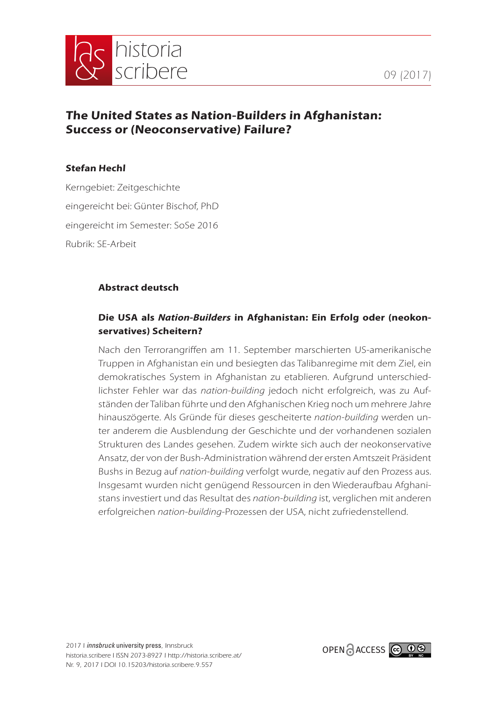



# **The United States as Nation-Builders in Afghanistan: Success or (Neoconservative) Failure?**

### **Stefan Hechl**

Kerngebiet: Zeitgeschichte eingereicht bei: Günter Bischof, PhD eingereicht im Semester: SoSe 2016 Rubrik: SE-Arbeit

## **Abstract deutsch**

## **Die USA als** *Nation-Builders* **in Afghanistan: Ein Erfolg oder (neokonservatives) Scheitern?**

Nach den Terrorangriffen am 11. September marschierten US-amerikanische Truppen in Afghanistan ein und besiegten das Talibanregime mit dem Ziel, ein demokratisches System in Afghanistan zu etablieren. Aufgrund unterschiedlichster Fehler war das *nation-building* jedoch nicht erfolgreich, was zu Aufständen der Taliban führte und den Afghanischen Krieg noch um mehrere Jahre hinauszögerte. Als Gründe für dieses gescheiterte *nation-building* werden unter anderem die Ausblendung der Geschichte und der vorhandenen sozialen Strukturen des Landes gesehen. Zudem wirkte sich auch der neokonservative Ansatz, der von der Bush-Administration während der ersten Amtszeit Präsident Bushs in Bezug auf *nation-building* verfolgt wurde, negativ auf den Prozess aus. Insgesamt wurden nicht genügend Ressourcen in den Wiederaufbau Afghanistans investiert und das Resultat des *nation-building* ist, verglichen mit anderen erfolgreichen *nation-building*-Prozessen der USA, nicht zufriedenstellend.

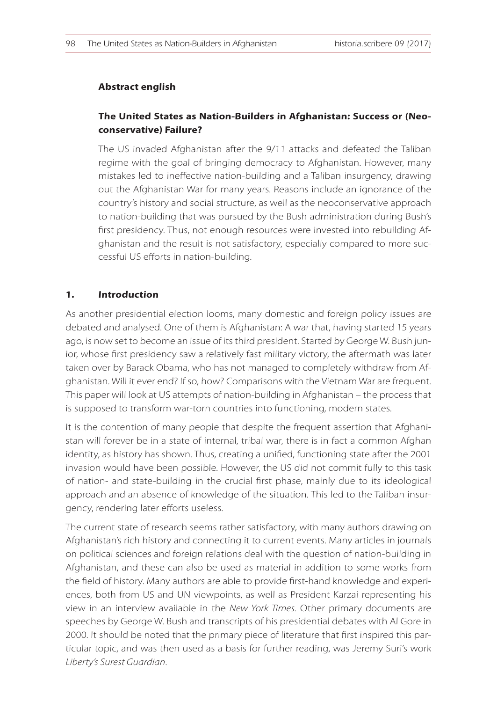#### **Abstract english**

## **The United States as Nation-Builders in Afghanistan: Success or (Neoconservative) Failure?**

The US invaded Afghanistan after the 9/11 attacks and defeated the Taliban regime with the goal of bringing democracy to Afghanistan. However, many mistakes led to ineffective nation-building and a Taliban insurgency, drawing out the Afghanistan War for many years. Reasons include an ignorance of the country's history and social structure, as well as the neoconservative approach to nation-building that was pursued by the Bush administration during Bush's first presidency. Thus, not enough resources were invested into rebuilding Afghanistan and the result is not satisfactory, especially compared to more successful US efforts in nation-building.

#### **1. Introduction**

As another presidential election looms, many domestic and foreign policy issues are debated and analysed. One of them is Afghanistan: A war that, having started 15 years ago, is now set to become an issue of its third president. Started by George W. Bush junior, whose first presidency saw a relatively fast military victory, the aftermath was later taken over by Barack Obama, who has not managed to completely withdraw from Afghanistan. Will it ever end? If so, how? Comparisons with the Vietnam War are frequent. This paper will look at US attempts of nation-building in Afghanistan – the process that is supposed to transform war-torn countries into functioning, modern states.

It is the contention of many people that despite the frequent assertion that Afghanistan will forever be in a state of internal, tribal war, there is in fact a common Afghan identity, as history has shown. Thus, creating a unified, functioning state after the 2001 invasion would have been possible. However, the US did not commit fully to this task of nation- and state-building in the crucial first phase, mainly due to its ideological approach and an absence of knowledge of the situation. This led to the Taliban insurgency, rendering later efforts useless.

The current state of research seems rather satisfactory, with many authors drawing on Afghanistan's rich history and connecting it to current events. Many articles in journals on political sciences and foreign relations deal with the question of nation-building in Afghanistan, and these can also be used as material in addition to some works from the field of history. Many authors are able to provide first-hand knowledge and experiences, both from US and UN viewpoints, as well as President Karzai representing his view in an interview available in the *New York Times*. Other primary documents are speeches by George W. Bush and transcripts of his presidential debates with Al Gore in 2000. It should be noted that the primary piece of literature that first inspired this particular topic, and was then used as a basis for further reading, was Jeremy Suri's work *Liberty's Surest Guardian*.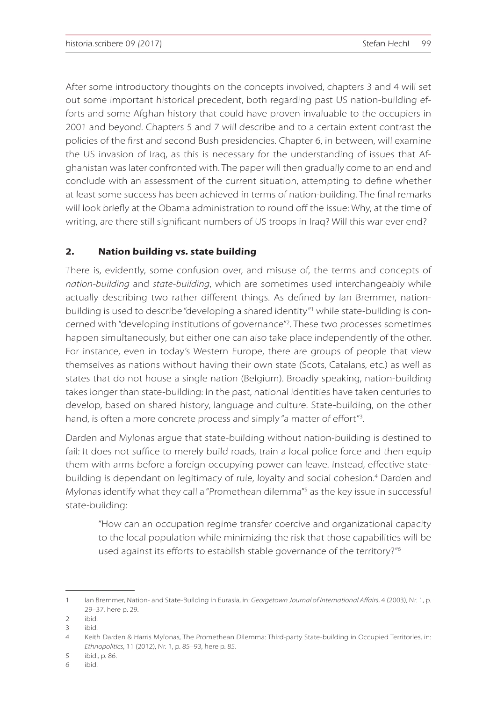After some introductory thoughts on the concepts involved, chapters 3 and 4 will set out some important historical precedent, both regarding past US nation-building efforts and some Afghan history that could have proven invaluable to the occupiers in 2001 and beyond. Chapters 5 and 7 will describe and to a certain extent contrast the policies of the first and second Bush presidencies. Chapter 6, in between, will examine the US invasion of Iraq, as this is necessary for the understanding of issues that Afghanistan was later confronted with. The paper will then gradually come to an end and conclude with an assessment of the current situation, attempting to define whether at least some success has been achieved in terms of nation-building. The final remarks will look briefly at the Obama administration to round off the issue: Why, at the time of writing, are there still significant numbers of US troops in Iraq? Will this war ever end?

## **2. Nation building vs. state building**

There is, evidently, some confusion over, and misuse of, the terms and concepts of *nation-building* and *state-building*, which are sometimes used interchangeably while actually describing two rather different things. As defined by Ian Bremmer, nationbuilding is used to describe "developing a shared identity"<sup>1</sup> while state-building is concerned with "developing institutions of governance"<sup>2</sup> . These two processes sometimes happen simultaneously, but either one can also take place independently of the other. For instance, even in today's Western Europe, there are groups of people that view themselves as nations without having their own state (Scots, Catalans, etc.) as well as states that do not house a single nation (Belgium). Broadly speaking, nation-building takes longer than state-building: In the past, national identities have taken centuries to develop, based on shared history, language and culture. State-building, on the other hand, is often a more concrete process and simply "a matter of effort"<sup>3</sup> .

Darden and Mylonas argue that state-building without nation-building is destined to fail: It does not suffice to merely build roads, train a local police force and then equip them with arms before a foreign occupying power can leave. Instead, effective statebuilding is dependant on legitimacy of rule, loyalty and social cohesion.<sup>4</sup> Darden and Mylonas identify what they call a "Promethean dilemma"<sup>5</sup> as the key issue in successful state-building:

"How can an occupation regime transfer coercive and organizational capacity to the local population while minimizing the risk that those capabilities will be used against its efforts to establish stable governance of the territory?"<sup>6</sup>

<sup>1</sup> Ian Bremmer, Nation- and State-Building in Eurasia, in: *Georgetown Journal of International Affairs*, 4 (2003), Nr. 1, p. 29–37, here p. 29.

<sup>2</sup> ibid.

<sup>3</sup> ibid.

<sup>4</sup> Keith Darden & Harris Mylonas, The Promethean Dilemma: Third-party State-building in Occupied Territories, in: *Ethnopolitics*, 11 (2012), Nr. 1, p. 85–93, here p. 85.

<sup>5</sup> ibid., p. 86.

<sup>6</sup> ibid.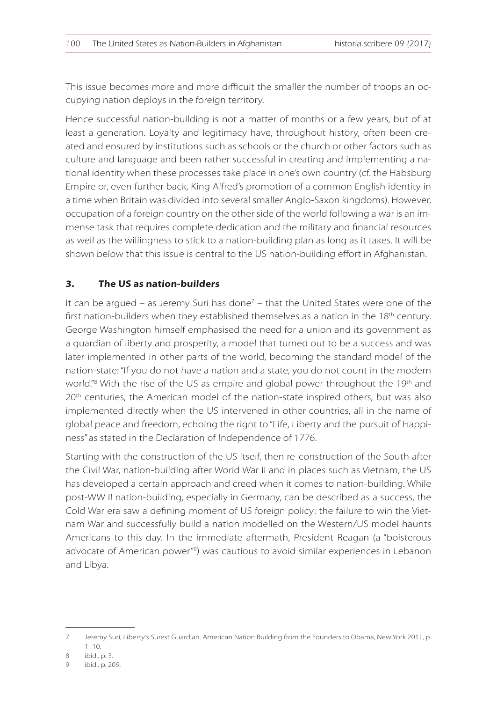This issue becomes more and more difficult the smaller the number of troops an occupying nation deploys in the foreign territory.

Hence successful nation-building is not a matter of months or a few years, but of at least a generation. Loyalty and legitimacy have, throughout history, often been created and ensured by institutions such as schools or the church or other factors such as culture and language and been rather successful in creating and implementing a national identity when these processes take place in one's own country (cf. the Habsburg Empire or, even further back, King Alfred's promotion of a common English identity in a time when Britain was divided into several smaller Anglo-Saxon kingdoms). However, occupation of a foreign country on the other side of the world following a war is an immense task that requires complete dedication and the military and financial resources as well as the willingness to stick to a nation-building plan as long as it takes. It will be shown below that this issue is central to the US nation-building effort in Afghanistan.

## **3. The US as nation-builders**

It can be argued – as Jeremy Suri has done<sup>7</sup> – that the United States were one of the first nation-builders when they established themselves as a nation in the  $18<sup>th</sup>$  century. George Washington himself emphasised the need for a union and its government as a guardian of liberty and prosperity, a model that turned out to be a success and was later implemented in other parts of the world, becoming the standard model of the nation-state: "If you do not have a nation and a state, you do not count in the modern world."<sup>8</sup> With the rise of the US as empire and global power throughout the 19th and  $20<sup>th</sup>$  centuries, the American model of the nation-state inspired others, but was also implemented directly when the US intervened in other countries, all in the name of global peace and freedom, echoing the right to "Life, Liberty and the pursuit of Happiness" as stated in the Declaration of Independence of 1776.

Starting with the construction of the US itself, then re-construction of the South after the Civil War, nation-building after World War II and in places such as Vietnam, the US has developed a certain approach and creed when it comes to nation-building. While post-WW II nation-building, especially in Germany, can be described as a success, the Cold War era saw a defining moment of US foreign policy: the failure to win the Vietnam War and successfully build a nation modelled on the Western/US model haunts Americans to this day. In the immediate aftermath, President Reagan (a "boisterous advocate of American power"<sup>9</sup> ) was cautious to avoid similar experiences in Lebanon and Libya.

<sup>7</sup> Jeremy Suri, Liberty's Surest Guardian. American Nation Building from the Founders to Obama, New York 2011, p. 1–10.

<sup>8</sup> ibid., p. 3.

<sup>9</sup> ibid., p. 209.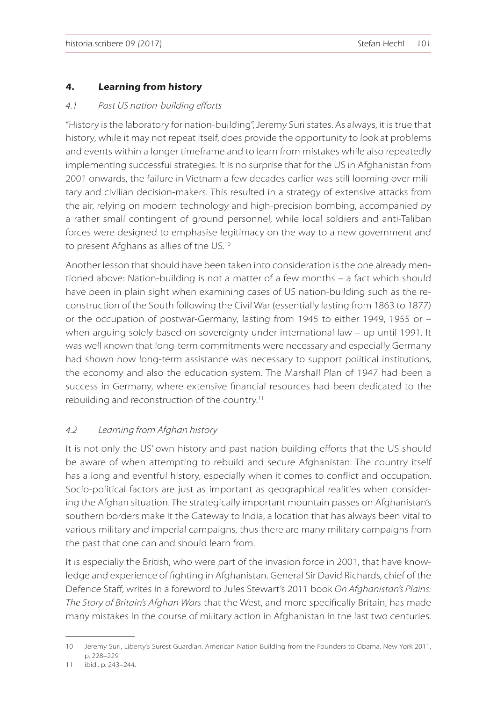#### **4. Learning from history**

#### *4.1 Past US nation-building efforts*

"History is the laboratory for nation-building", Jeremy Suri states. As always, it is true that history, while it may not repeat itself, does provide the opportunity to look at problems and events within a longer timeframe and to learn from mistakes while also repeatedly implementing successful strategies. It is no surprise that for the US in Afghanistan from 2001 onwards, the failure in Vietnam a few decades earlier was still looming over military and civilian decision-makers. This resulted in a strategy of extensive attacks from the air, relying on modern technology and high-precision bombing, accompanied by a rather small contingent of ground personnel, while local soldiers and anti-Taliban forces were designed to emphasise legitimacy on the way to a new government and to present Afghans as allies of the US.<sup>10</sup>

Another lesson that should have been taken into consideration is the one already mentioned above: Nation-building is not a matter of a few months – a fact which should have been in plain sight when examining cases of US nation-building such as the reconstruction of the South following the Civil War (essentially lasting from 1863 to 1877) or the occupation of postwar-Germany, lasting from 1945 to either 1949, 1955 or – when arguing solely based on sovereignty under international law – up until 1991. It was well known that long-term commitments were necessary and especially Germany had shown how long-term assistance was necessary to support political institutions, the economy and also the education system. The Marshall Plan of 1947 had been a success in Germany, where extensive financial resources had been dedicated to the rebuilding and reconstruction of the country.<sup>11</sup>

#### *4.2 Learning from Afghan history*

It is not only the US' own history and past nation-building efforts that the US should be aware of when attempting to rebuild and secure Afghanistan. The country itself has a long and eventful history, especially when it comes to conflict and occupation. Socio-political factors are just as important as geographical realities when considering the Afghan situation. The strategically important mountain passes on Afghanistan's southern borders make it the Gateway to India, a location that has always been vital to various military and imperial campaigns, thus there are many military campaigns from the past that one can and should learn from.

It is especially the British, who were part of the invasion force in 2001, that have knowledge and experience of fighting in Afghanistan. General Sir David Richards, chief of the Defence Staff, writes in a foreword to Jules Stewart's 2011 book *On Afghanistan's Plains: The Story of Britain's Afghan Wars* that the West, and more specifically Britain, has made many mistakes in the course of military action in Afghanistan in the last two centuries.

<sup>10</sup> Jeremy Suri, Liberty's Surest Guardian. American Nation Building from the Founders to Obama, New York 2011, p. 228–229

<sup>11</sup> ibid., p. 243–244.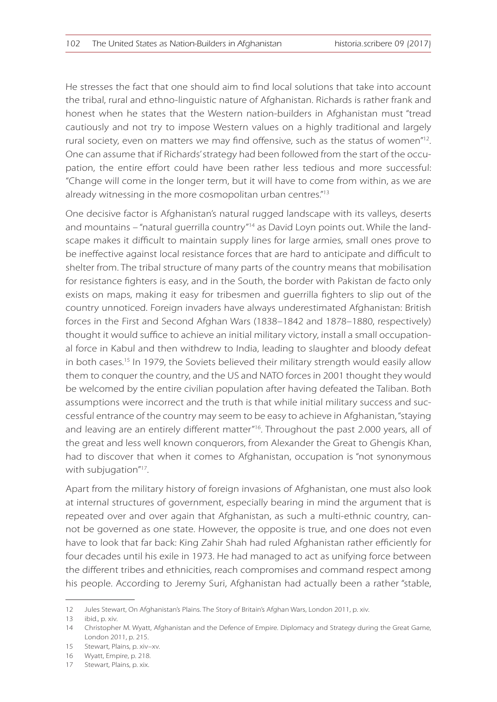He stresses the fact that one should aim to find local solutions that take into account the tribal, rural and ethno-linguistic nature of Afghanistan. Richards is rather frank and honest when he states that the Western nation-builders in Afghanistan must "tread cautiously and not try to impose Western values on a highly traditional and largely rural society, even on matters we may find offensive, such as the status of women" $^{12}$ . One can assume that if Richards' strategy had been followed from the start of the occupation, the entire effort could have been rather less tedious and more successful: "Change will come in the longer term, but it will have to come from within, as we are already witnessing in the more cosmopolitan urban centres."<sup>13</sup>

One decisive factor is Afghanistan's natural rugged landscape with its valleys, deserts and mountains – "natural guerrilla country"<sup>14</sup> as David Loyn points out. While the landscape makes it difficult to maintain supply lines for large armies, small ones prove to be ineffective against local resistance forces that are hard to anticipate and difficult to shelter from. The tribal structure of many parts of the country means that mobilisation for resistance fighters is easy, and in the South, the border with Pakistan de facto only exists on maps, making it easy for tribesmen and guerrilla fighters to slip out of the country unnoticed. Foreign invaders have always underestimated Afghanistan: British forces in the First and Second Afghan Wars (1838–1842 and 1878–1880, respectively) thought it would suffice to achieve an initial military victory, install a small occupational force in Kabul and then withdrew to India, leading to slaughter and bloody defeat in both cases.<sup>15</sup> In 1979, the Soviets believed their military strength would easily allow them to conquer the country, and the US and NATO forces in 2001 thought they would be welcomed by the entire civilian population after having defeated the Taliban. Both assumptions were incorrect and the truth is that while initial military success and successful entrance of the country may seem to be easy to achieve in Afghanistan, "staying and leaving are an entirely different matter"<sup>16</sup>. Throughout the past 2.000 years, all of the great and less well known conquerors, from Alexander the Great to Ghengis Khan, had to discover that when it comes to Afghanistan, occupation is "not synonymous with subjugation"<sup>17</sup>.

Apart from the military history of foreign invasions of Afghanistan, one must also look at internal structures of government, especially bearing in mind the argument that is repeated over and over again that Afghanistan, as such a multi-ethnic country, cannot be governed as one state. However, the opposite is true, and one does not even have to look that far back: King Zahir Shah had ruled Afghanistan rather efficiently for four decades until his exile in 1973. He had managed to act as unifying force between the different tribes and ethnicities, reach compromises and command respect among his people. According to Jeremy Suri, Afghanistan had actually been a rather "stable,

<sup>12</sup> Jules Stewart, On Afghanistan's Plains. The Story of Britain's Afghan Wars, London 2011, p. xiv.

<sup>13</sup> ibid., p. xiv.

<sup>14</sup> Christopher M. Wyatt, Afghanistan and the Defence of Empire. Diplomacy and Strategy during the Great Game, London 2011, p. 215.

<sup>15</sup> Stewart, Plains, p. xiv–xv.

<sup>16</sup> Wyatt, Empire, p. 218.

<sup>17</sup> Stewart, Plains, p. xix.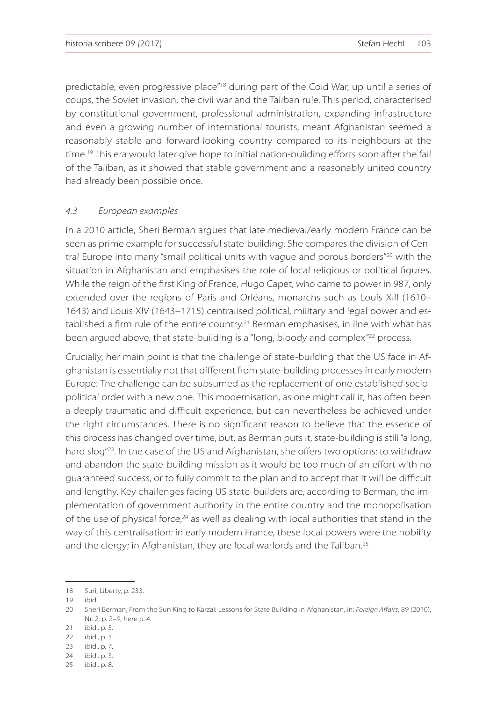predictable, even progressive place"<sup>18</sup> during part of the Cold War, up until a series of coups, the Soviet invasion, the civil war and the Taliban rule. This period, characterised by constitutional government, professional administration, expanding infrastructure and even a growing number of international tourists, meant Afghanistan seemed a reasonably stable and forward-looking country compared to its neighbours at the time.<sup>19</sup> This era would later give hope to initial nation-building efforts soon after the fall of the Taliban, as it showed that stable government and a reasonably united country had already been possible once.

#### *4.3 European examples*

In a 2010 article, Sheri Berman argues that late medieval/early modern France can be seen as prime example for successful state-building. She compares the division of Central Europe into many "small political units with vague and porous borders"<sup>20</sup> with the situation in Afghanistan and emphasises the role of local religious or political figures. While the reign of the first King of France, Hugo Capet, who came to power in 987, only extended over the regions of Paris and Orléans, monarchs such as Louis XIII (1610– 1643) and Louis XIV (1643–1715) centralised political, military and legal power and established a firm rule of the entire country.<sup>21</sup> Berman emphasises, in line with what has been argued above, that state-building is a "long, bloody and complex"<sup>22</sup> process.

Crucially, her main point is that the challenge of state-building that the US face in Afghanistan is essentially not that different from state-building processes in early modern Europe: The challenge can be subsumed as the replacement of one established sociopolitical order with a new one. This modernisation, as one might call it, has often been a deeply traumatic and difficult experience, but can nevertheless be achieved under the right circumstances. There is no significant reason to believe that the essence of this process has changed over time, but, as Berman puts it, state-building is still "a long, hard slog<sup>"23</sup>. In the case of the US and Afghanistan, she offers two options: to withdraw and abandon the state-building mission as it would be too much of an effort with no guaranteed success, or to fully commit to the plan and to accept that it will be difficult and lengthy. Key challenges facing US state-builders are, according to Berman, the implementation of government authority in the entire country and the monopolisation of the use of physical force, $24$  as well as dealing with local authorities that stand in the way of this centralisation: in early modern France, these local powers were the nobility and the clergy; in Afghanistan, they are local warlords and the Taliban.<sup>25</sup>

<sup>18</sup> Suri, Liberty, p. 233.

<sup>19</sup> ibid.

<sup>20</sup> Sheri Berman, From the Sun King to Karzai: Lessons for State Building in Afghanistan, in: *Foreign Affairs*, 89 (2010), Nr. 2, p. 2–9, here p. 4.

<sup>21</sup> ibid., p. 5.

<sup>22</sup> ibid., p. 3.

<sup>23</sup> ibid., p. 7.

<sup>24</sup> ibid., p. 3.

<sup>25</sup> ibid., p. 8.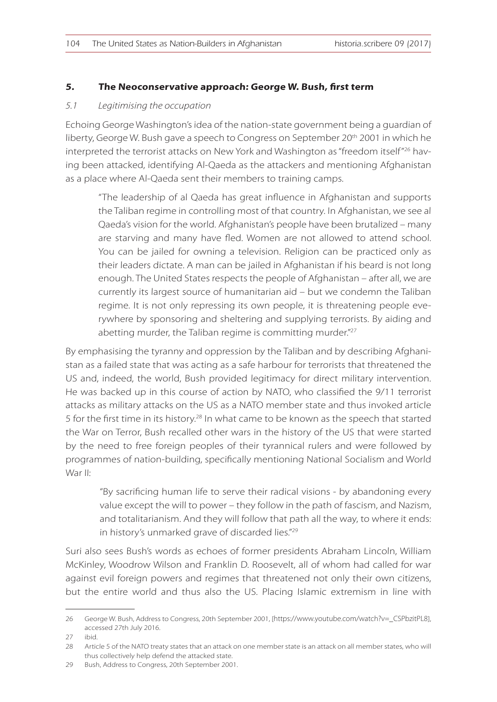### **5. The Neoconservative approach: George W. Bush, first term**

#### *5.1 Legitimising the occupation*

Echoing George Washington's idea of the nation-state government being a guardian of liberty, George W. Bush gave a speech to Congress on September 20<sup>th</sup> 2001 in which he interpreted the terrorist attacks on New York and Washington as "freedom itself"26 having been attacked, identifying Al-Qaeda as the attackers and mentioning Afghanistan as a place where Al-Qaeda sent their members to training camps.

"The leadership of al Qaeda has great influence in Afghanistan and supports the Taliban regime in controlling most of that country. In Afghanistan, we see al Qaeda's vision for the world. Afghanistan's people have been brutalized – many are starving and many have fled. Women are not allowed to attend school. You can be jailed for owning a television. Religion can be practiced only as their leaders dictate. A man can be jailed in Afghanistan if his beard is not long enough. The United States respects the people of Afghanistan – after all, we are currently its largest source of humanitarian aid – but we condemn the Taliban regime. It is not only repressing its own people, it is threatening people everywhere by sponsoring and sheltering and supplying terrorists. By aiding and abetting murder, the Taliban regime is committing murder."<sup>27</sup>

By emphasising the tyranny and oppression by the Taliban and by describing Afghanistan as a failed state that was acting as a safe harbour for terrorists that threatened the US and, indeed, the world, Bush provided legitimacy for direct military intervention. He was backed up in this course of action by NATO, who classified the 9/11 terrorist attacks as military attacks on the US as a NATO member state and thus invoked article 5 for the first time in its history.<sup>28</sup> In what came to be known as the speech that started the War on Terror, Bush recalled other wars in the history of the US that were started by the need to free foreign peoples of their tyrannical rulers and were followed by programmes of nation-building, specifically mentioning National Socialism and World War II:

"By sacrificing human life to serve their radical visions - by abandoning every value except the will to power – they follow in the path of fascism, and Nazism, and totalitarianism. And they will follow that path all the way, to where it ends: in history's unmarked grave of discarded lies."<sup>29</sup>

Suri also sees Bush's words as echoes of former presidents Abraham Lincoln, William McKinley, Woodrow Wilson and Franklin D. Roosevelt, all of whom had called for war against evil foreign powers and regimes that threatened not only their own citizens, but the entire world and thus also the US. Placing Islamic extremism in line with

<sup>26</sup> George W. Bush, Address to Congress, 20th September 2001, [https://www.youtube.com/watch?v=\_CSPbzitPL8], accessed 27th July 2016.

<sup>27</sup> ibid.

<sup>28</sup> Article 5 of the NATO treaty states that an attack on one member state is an attack on all member states, who will thus collectively help defend the attacked state.

<sup>29</sup> Bush, Address to Congress, 20th September 2001.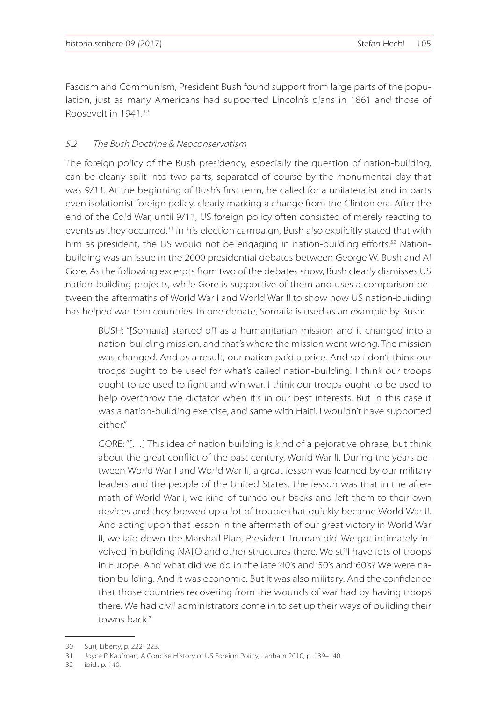Fascism and Communism, President Bush found support from large parts of the population, just as many Americans had supported Lincoln's plans in 1861 and those of Roosevelt in 1941.<sup>30</sup>

## *5.2 The Bush Doctrine & Neoconservatism*

The foreign policy of the Bush presidency, especially the question of nation-building, can be clearly split into two parts, separated of course by the monumental day that was 9/11. At the beginning of Bush's first term, he called for a unilateralist and in parts even isolationist foreign policy, clearly marking a change from the Clinton era. After the end of the Cold War, until 9/11, US foreign policy often consisted of merely reacting to events as they occurred.<sup>31</sup> In his election campaign, Bush also explicitly stated that with him as president, the US would not be engaging in nation-building efforts.<sup>32</sup> Nationbuilding was an issue in the 2000 presidential debates between George W. Bush and Al Gore. As the following excerpts from two of the debates show, Bush clearly dismisses US nation-building projects, while Gore is supportive of them and uses a comparison between the aftermaths of World War I and World War II to show how US nation-building has helped war-torn countries. In one debate, Somalia is used as an example by Bush:

BUSH: "[Somalia] started off as a humanitarian mission and it changed into a nation-building mission, and that's where the mission went wrong. The mission was changed. And as a result, our nation paid a price. And so I don't think our troops ought to be used for what's called nation-building. I think our troops ought to be used to fight and win war. I think our troops ought to be used to help overthrow the dictator when it's in our best interests. But in this case it was a nation-building exercise, and same with Haiti. I wouldn't have supported either"

GORE: "[…] This idea of nation building is kind of a pejorative phrase, but think about the great conflict of the past century, World War II. During the years between World War I and World War II, a great lesson was learned by our military leaders and the people of the United States. The lesson was that in the aftermath of World War I, we kind of turned our backs and left them to their own devices and they brewed up a lot of trouble that quickly became World War II. And acting upon that lesson in the aftermath of our great victory in World War II, we laid down the Marshall Plan, President Truman did. We got intimately involved in building NATO and other structures there. We still have lots of troops in Europe. And what did we do in the late '40's and '50's and '60's? We were nation building. And it was economic. But it was also military. And the confidence that those countries recovering from the wounds of war had by having troops there. We had civil administrators come in to set up their ways of building their towns back."

32 ibid., p. 140.

<sup>30</sup> Suri, Liberty, p. 222–223.

<sup>31</sup> Joyce P. Kaufman, A Concise History of US Foreign Policy, Lanham 2010, p. 139–140.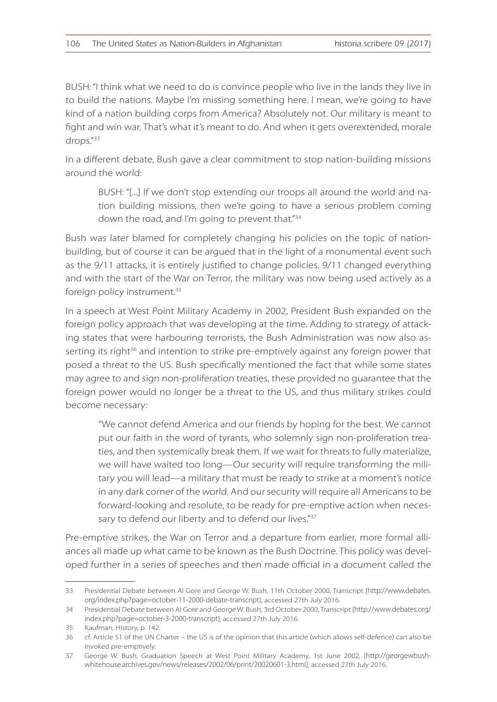BUSH: "I think what we need to do is convince people who live in the lands they live in to build the nations. Maybe I'm missing something here. I mean, we're going to have kind of a nation building corps from America? Absolutely not. Our military is meant to fight and win war. That's what it's meant to do. And when it gets overextended, morale drops."<sup>33</sup>

In a different debate, Bush gave a clear commitment to stop nation-building missions around the world:

BUSH: "[...] If we don't stop extending our troops all around the world and nation building missions, then we're going to have a serious problem coming down the road, and I'm going to prevent that."<sup>34</sup>

Bush was later blamed for completely changing his policies on the topic of nationbuilding, but of course it can be argued that in the light of a monumental event such as the 9/11 attacks, it is entirely justified to change policies. 9/11 changed everything and with the start of the War on Terror, the military was now being used actively as a foreign policy instrument.<sup>35</sup>

In a speech at West Point Military Academy in 2002, President Bush expanded on the foreign policy approach that was developing at the time. Adding to strategy of attacking states that were harbouring terrorists, the Bush Administration was now also asserting its right $36$  and intention to strike pre-emptively against any foreign power that posed a threat to the US. Bush specifically mentioned the fact that while some states may agree to and sign non-proliferation treaties, these provided no guarantee that the foreign power would no longer be a threat to the US, and thus military strikes could become necessary:

"We cannot defend America and our friends by hoping for the best. We cannot put our faith in the word of tyrants, who solemnly sign non-proliferation treaties, and then systemically break them. If we wait for threats to fully materialize, we will have waited too long—Our security will require transforming the military you will lead—a military that must be ready to strike at a moment's notice in any dark corner of the world. And our security will require all Americans to be forward-looking and resolute, to be ready for pre-emptive action when necessary to defend our liberty and to defend our lives."<sup>37</sup>

Pre-emptive strikes, the War on Terror and a departure from earlier, more formal alliances all made up what came to be known as the Bush Doctrine. This policy was developed further in a series of speeches and then made official in a document called the

<sup>33</sup> Presidential Debate between Al Gore and George W. Bush, 11th October 2000, Transcript [http://www.debates. org/index.php?page=october-11-2000-debate-transcript], accessed 27th July 2016.

<sup>34</sup> Presidential Debate between Al Gore and George W. Bush, 3rd October 2000, Transcript [http://www.debates.org/ index.php?page=october-3-2000-transcript], accessed 27th July 2016.

<sup>35</sup> Kaufman, History, p. 142.

<sup>36</sup> cf. Article 51 of the UN Charter – the US is of the opinion that this article (which allows self-defence) can also be invoked pre-emptively.

<sup>37</sup> George W. Bush, Graduation Speech at West Point Military Academy, 1st June 2002, [http://georgewbushwhitehouse.archives.gov/news/releases/2002/06/print/20020601-3.html], accessed 27th July 2016.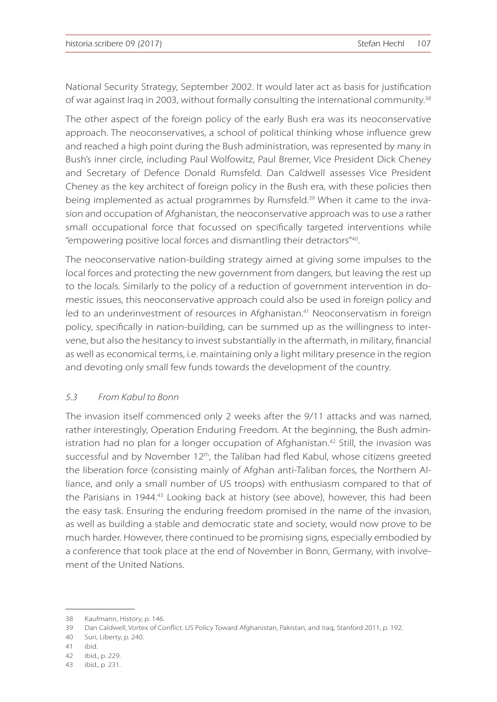National Security Strategy, September 2002. It would later act as basis for justification of war against Iraq in 2003, without formally consulting the international community.<sup>38</sup>

The other aspect of the foreign policy of the early Bush era was its neoconservative approach. The neoconservatives, a school of political thinking whose influence grew and reached a high point during the Bush administration, was represented by many in Bush's inner circle, including Paul Wolfowitz, Paul Bremer, Vice President Dick Cheney and Secretary of Defence Donald Rumsfeld. Dan Caldwell assesses Vice President Cheney as the key architect of foreign policy in the Bush era, with these policies then being implemented as actual programmes by Rumsfeld.<sup>39</sup> When it came to the invasion and occupation of Afghanistan, the neoconservative approach was to use a rather small occupational force that focussed on specifically targeted interventions while "empowering positive local forces and dismantling their detractors"<sup>40</sup>.

The neoconservative nation-building strategy aimed at giving some impulses to the local forces and protecting the new government from dangers, but leaving the rest up to the locals. Similarly to the policy of a reduction of government intervention in domestic issues, this neoconservative approach could also be used in foreign policy and led to an underinvestment of resources in Afghanistan.<sup>41</sup> Neoconservatism in foreign policy, specifically in nation-building, can be summed up as the willingness to intervene, but also the hesitancy to invest substantially in the aftermath, in military, financial as well as economical terms, i.e. maintaining only a light military presence in the region and devoting only small few funds towards the development of the country.

#### *5.3 From Kabul to Bonn*

The invasion itself commenced only 2 weeks after the 9/11 attacks and was named, rather interestingly, Operation Enduring Freedom. At the beginning, the Bush administration had no plan for a longer occupation of Afghanistan.<sup>42</sup> Still, the invasion was successful and by November 12<sup>th</sup>, the Taliban had fled Kabul, whose citizens greeted the liberation force (consisting mainly of Afghan anti-Taliban forces, the Northern Alliance, and only a small number of US troops) with enthusiasm compared to that of the Parisians in 1944.<sup>43</sup> Looking back at history (see above), however, this had been the easy task. Ensuring the enduring freedom promised in the name of the invasion, as well as building a stable and democratic state and society, would now prove to be much harder. However, there continued to be promising signs, especially embodied by a conference that took place at the end of November in Bonn, Germany, with involvement of the United Nations.

<sup>38</sup> Kaufmann, History, p. 146.

<sup>39</sup> Dan Caldwell, Vortex of Conflict. US Policy Toward Afghanistan, Pakistan, and Iraq, Stanford 2011, p. 192.

<sup>40</sup> Suri, Liberty, p. 240.

<sup>41</sup> ibid.

<sup>42</sup> ibid., p. 229.

<sup>43</sup> ibid., p. 231.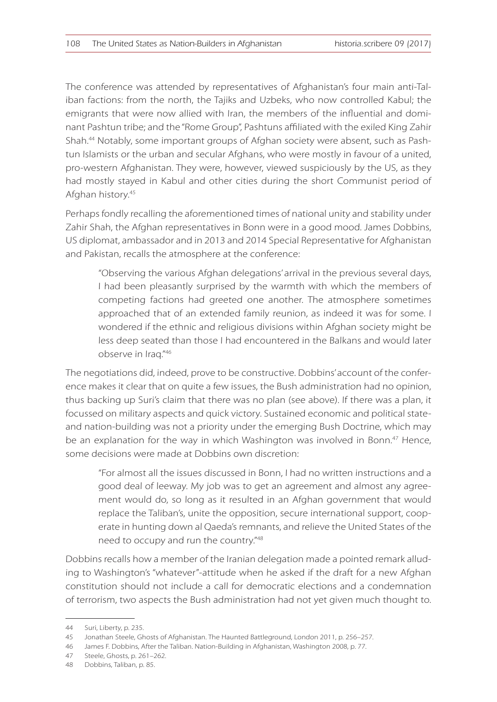The conference was attended by representatives of Afghanistan's four main anti-Taliban factions: from the north, the Tajiks and Uzbeks, who now controlled Kabul; the emigrants that were now allied with Iran, the members of the influential and dominant Pashtun tribe; and the "Rome Group", Pashtuns affiliated with the exiled King Zahir Shah.44 Notably, some important groups of Afghan society were absent, such as Pashtun Islamists or the urban and secular Afghans, who were mostly in favour of a united, pro-western Afghanistan. They were, however, viewed suspiciously by the US, as they had mostly stayed in Kabul and other cities during the short Communist period of Afghan history.<sup>45</sup>

Perhaps fondly recalling the aforementioned times of national unity and stability under Zahir Shah, the Afghan representatives in Bonn were in a good mood. James Dobbins, US diplomat, ambassador and in 2013 and 2014 Special Representative for Afghanistan and Pakistan, recalls the atmosphere at the conference:

"Observing the various Afghan delegations' arrival in the previous several days, I had been pleasantly surprised by the warmth with which the members of competing factions had greeted one another. The atmosphere sometimes approached that of an extended family reunion, as indeed it was for some. I wondered if the ethnic and religious divisions within Afghan society might be less deep seated than those I had encountered in the Balkans and would later observe in Iraq."<sup>46</sup>

The negotiations did, indeed, prove to be constructive. Dobbins' account of the conference makes it clear that on quite a few issues, the Bush administration had no opinion, thus backing up Suri's claim that there was no plan (see above). If there was a plan, it focussed on military aspects and quick victory. Sustained economic and political stateand nation-building was not a priority under the emerging Bush Doctrine, which may be an explanation for the way in which Washington was involved in Bonn.<sup>47</sup> Hence, some decisions were made at Dobbins own discretion:

"For almost all the issues discussed in Bonn, I had no written instructions and a good deal of leeway. My job was to get an agreement and almost any agreement would do, so long as it resulted in an Afghan government that would replace the Taliban's, unite the opposition, secure international support, cooperate in hunting down al Qaeda's remnants, and relieve the United States of the need to occupy and run the country."<sup>48</sup>

Dobbins recalls how a member of the Iranian delegation made a pointed remark alluding to Washington's "whatever"-attitude when he asked if the draft for a new Afghan constitution should not include a call for democratic elections and a condemnation of terrorism, two aspects the Bush administration had not yet given much thought to.

<sup>44</sup> Suri, Liberty, p. 235.

<sup>45</sup> Jonathan Steele, Ghosts of Afghanistan. The Haunted Battleground, London 2011, p. 256–257.

<sup>46</sup> James F. Dobbins, After the Taliban. Nation-Building in Afghanistan, Washington 2008, p. 77.

<sup>47</sup> Steele, Ghosts, p. 261–262.

<sup>48</sup> Dobbins, Taliban, p. 85.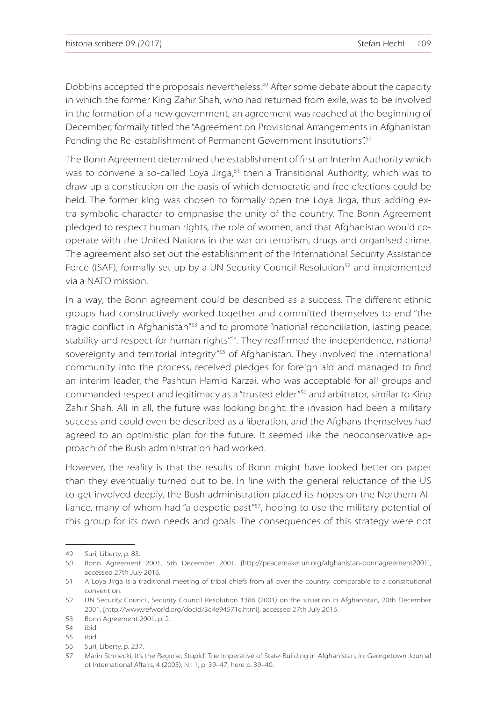Dobbins accepted the proposals nevertheless.<sup>49</sup> After some debate about the capacity in which the former King Zahir Shah, who had returned from exile, was to be involved in the formation of a new government, an agreement was reached at the beginning of December, formally titled the "Agreement on Provisional Arrangements in Afghanistan Pending the Re-establishment of Permanent Government Institutions".50

The Bonn Agreement determined the establishment of first an Interim Authority which was to convene a so-called Loya Jirga, $51$  then a Transitional Authority, which was to draw up a constitution on the basis of which democratic and free elections could be held. The former king was chosen to formally open the Lova Jirga, thus adding extra symbolic character to emphasise the unity of the country. The Bonn Agreement pledged to respect human rights, the role of women, and that Afghanistan would cooperate with the United Nations in the war on terrorism, drugs and organised crime. The agreement also set out the establishment of the International Security Assistance Force (ISAF), formally set up by a UN Security Council Resolution<sup>52</sup> and implemented via a NATO mission.

In a way, the Bonn agreement could be described as a success. The different ethnic groups had constructively worked together and committed themselves to end "the tragic conflict in Afghanistan<sup>"53</sup> and to promote "national reconciliation, lasting peace, stability and respect for human rights"<sup>54</sup>. They reaffirmed the independence, national sovereignty and territorial integrity<sup>"55</sup> of Afghanistan. They involved the international community into the process, received pledges for foreign aid and managed to find an interim leader, the Pashtun Hamid Karzai, who was acceptable for all groups and commanded respect and legitimacy as a "trusted elder"<sup>56</sup> and arbitrator, similar to King Zahir Shah. All in all, the future was looking bright: the invasion had been a military success and could even be described as a liberation, and the Afghans themselves had agreed to an optimistic plan for the future. It seemed like the neoconservative approach of the Bush administration had worked.

However, the reality is that the results of Bonn might have looked better on paper than they eventually turned out to be. In line with the general reluctance of the US to get involved deeply, the Bush administration placed its hopes on the Northern Alliance, many of whom had "a despotic past"<sup>57</sup>, hoping to use the military potential of this group for its own needs and goals. The consequences of this strategy were not

<sup>49</sup> Suri, Liberty, p. 83.

<sup>50</sup> Bonn Agreement 2001, 5th December 2001, [http://peacemaker.un.org/afghanistan-bonnagreement2001], accessed 27th July 2016.

<sup>51</sup> A Loya Jirga is a traditional meeting of tribal chiefs from all over the country, comparable to a constitutional convention.

<sup>52</sup> UN Security Council, Security Council Resolution 1386 (2001) on the situation in Afghanistan, 20th December 2001, [http://www.refworld.org/docid/3c4e94571c.html], accessed 27th July 2016.

<sup>53</sup> Bonn Agreement 2001, p. 2.

<sup>54</sup> ibid.

<sup>55</sup> ibid.

<sup>56</sup> Suri, Liberty, p. 237.

<sup>57</sup> Marin Strmecki, It's the Regime, Stupid! The Imperative of State-Building in Afghanistan, in: Georgetown Journal of International Affairs, 4 (2003), Nr. 1, p. 39–47, here p. 39–40.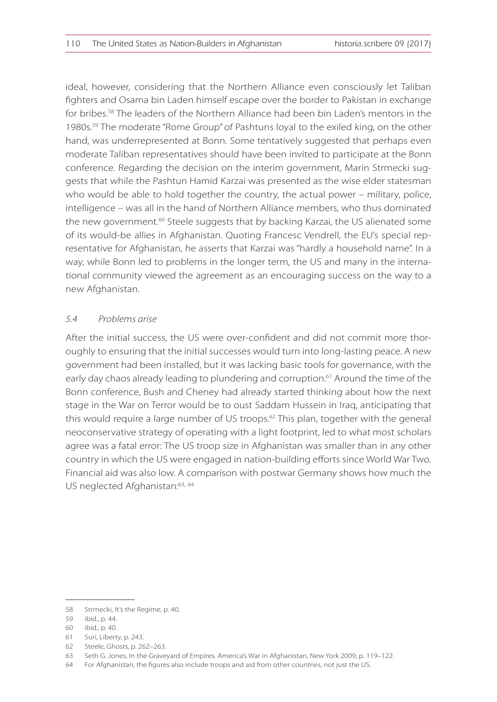ideal, however, considering that the Northern Alliance even consciously let Taliban fighters and Osama bin Laden himself escape over the border to Pakistan in exchange for bribes.58 The leaders of the Northern Alliance had been bin Laden's mentors in the 1980s.<sup>59</sup> The moderate "Rome Group" of Pashtuns loyal to the exiled king, on the other hand, was underrepresented at Bonn. Some tentatively suggested that perhaps even moderate Taliban representatives should have been invited to participate at the Bonn conference. Regarding the decision on the interim government, Marin Strmecki suggests that while the Pashtun Hamid Karzai was presented as the wise elder statesman who would be able to hold together the country, the actual power – military, police, intelligence – was all in the hand of Northern Alliance members, who thus dominated the new government.<sup>60</sup> Steele suggests that by backing Karzai, the US alienated some of its would-be allies in Afghanistan. Quoting Francesc Vendrell, the EU's special representative for Afghanistan, he asserts that Karzai was "hardly a household name". In a way, while Bonn led to problems in the longer term, the US and many in the international community viewed the agreement as an encouraging success on the way to a new Afghanistan.

#### *5.4 Problems arise*

After the initial success, the US were over-confident and did not commit more thoroughly to ensuring that the initial successes would turn into long-lasting peace. A new government had been installed, but it was lacking basic tools for governance, with the early day chaos already leading to plundering and corruption.<sup>61</sup> Around the time of the Bonn conference, Bush and Cheney had already started thinking about how the next stage in the War on Terror would be to oust Saddam Hussein in Iraq, anticipating that this would require a large number of US troops.<sup>62</sup> This plan, together with the general neoconservative strategy of operating with a light footprint, led to what most scholars agree was a fatal error: The US troop size in Afghanistan was smaller than in any other country in which the US were engaged in nation-building efforts since World War Two. Financial aid was also low. A comparison with postwar Germany shows how much the US neglected Afghanistan:<sup>63, 64</sup>

<sup>58</sup> Strmecki, It's the Regime, p. 40.

<sup>59</sup> ibid., p. 44.

<sup>60</sup> ibid., p. 40.

<sup>61</sup> Suri, Liberty, p. 243.

<sup>62</sup> Steele, Ghosts, p. 262–263.

<sup>63</sup> Seth G. Jones, In the Graveyard of Empires. America's War in Afghanistan, New York 2009, p. 119–122.

<sup>64</sup> For Afghanistan, the figures also include troops and aid from other countries, not just the US.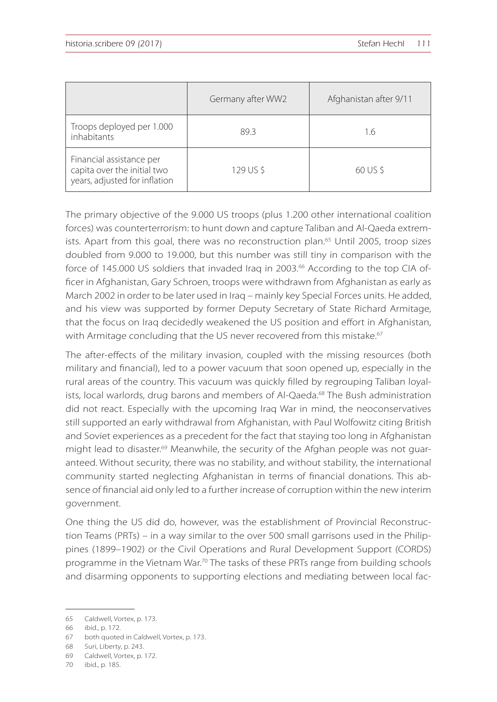|                                                                                          | Germany after WW2 | Afghanistan after 9/11 |
|------------------------------------------------------------------------------------------|-------------------|------------------------|
| Troops deployed per 1.000<br>inhabitants                                                 | 89.3              | 1.6                    |
| Financial assistance per<br>capita over the initial two<br>years, adjusted for inflation | 129 US \$         | 60 US \$               |

The primary objective of the 9.000 US troops (plus 1.200 other international coalition forces) was counterterrorism: to hunt down and capture Taliban and Al-Qaeda extremists. Apart from this goal, there was no reconstruction plan.<sup>65</sup> Until 2005, troop sizes doubled from 9.000 to 19.000, but this number was still tiny in comparison with the force of 145.000 US soldiers that invaded Iraq in 2003.<sup>66</sup> According to the top CIA officer in Afghanistan, Gary Schroen, troops were withdrawn from Afghanistan as early as March 2002 in order to be later used in Iraq – mainly key Special Forces units. He added, and his view was supported by former Deputy Secretary of State Richard Armitage, that the focus on Iraq decidedly weakened the US position and effort in Afghanistan, with Armitage concluding that the US never recovered from this mistake.<sup>67</sup>

The after-effects of the military invasion, coupled with the missing resources (both military and financial), led to a power vacuum that soon opened up, especially in the rural areas of the country. This vacuum was quickly filled by regrouping Taliban loyalists, local warlords, drug barons and members of Al-Qaeda.<sup>68</sup> The Bush administration did not react. Especially with the upcoming Iraq War in mind, the neoconservatives still supported an early withdrawal from Afghanistan, with Paul Wolfowitz citing British and Soviet experiences as a precedent for the fact that staying too long in Afghanistan might lead to disaster. $69$  Meanwhile, the security of the Afghan people was not quaranteed. Without security, there was no stability, and without stability, the international community started neglecting Afghanistan in terms of financial donations. This absence of financial aid only led to a further increase of corruption within the new interim government.

One thing the US did do, however, was the establishment of Provincial Reconstruction Teams (PRTs) – in a way similar to the over 500 small garrisons used in the Philippines (1899–1902) or the Civil Operations and Rural Development Support (CORDS) programme in the Vietnam War.<sup>70</sup> The tasks of these PRTs range from building schools and disarming opponents to supporting elections and mediating between local fac-

<sup>65</sup> Caldwell, Vortex, p. 173.

<sup>66</sup> ibid., p. 172.

<sup>67</sup> both quoted in Caldwell, Vortex, p. 173.

<sup>68</sup> Suri, Liberty, p. 243.

<sup>69</sup> Caldwell, Vortex, p. 172.

<sup>70</sup> ibid., p. 185.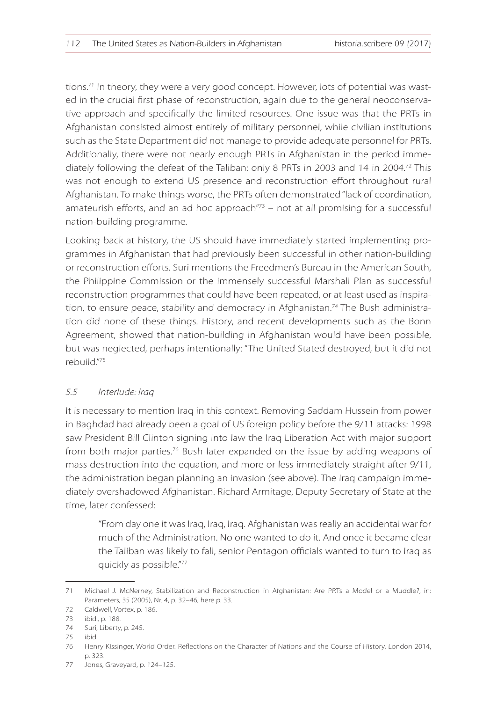tions.<sup>71</sup> In theory, they were a very good concept. However, lots of potential was wasted in the crucial first phase of reconstruction, again due to the general neoconservative approach and specifically the limited resources. One issue was that the PRTs in Afghanistan consisted almost entirely of military personnel, while civilian institutions such as the State Department did not manage to provide adequate personnel for PRTs. Additionally, there were not nearly enough PRTs in Afghanistan in the period immediately following the defeat of the Taliban: only 8 PRTs in 2003 and 14 in 2004.<sup>72</sup> This was not enough to extend US presence and reconstruction effort throughout rural Afghanistan. To make things worse, the PRTs often demonstrated "lack of coordination, amateurish efforts, and an ad hoc approach $173$  – not at all promising for a successful nation-building programme.

Looking back at history, the US should have immediately started implementing programmes in Afghanistan that had previously been successful in other nation-building or reconstruction efforts. Suri mentions the Freedmen's Bureau in the American South, the Philippine Commission or the immensely successful Marshall Plan as successful reconstruction programmes that could have been repeated, or at least used as inspiration, to ensure peace, stability and democracy in Afghanistan.<sup>74</sup> The Bush administration did none of these things. History, and recent developments such as the Bonn Agreement, showed that nation-building in Afghanistan would have been possible, but was neglected, perhaps intentionally: "The United Stated destroyed, but it did not rebuild."<sup>75</sup>

#### *5.5 Interlude: Iraq*

It is necessary to mention Iraq in this context. Removing Saddam Hussein from power in Baghdad had already been a goal of US foreign policy before the 9/11 attacks: 1998 saw President Bill Clinton signing into law the Iraq Liberation Act with major support from both major parties.<sup>76</sup> Bush later expanded on the issue by adding weapons of mass destruction into the equation, and more or less immediately straight after 9/11, the administration began planning an invasion (see above). The Iraq campaign immediately overshadowed Afghanistan. Richard Armitage, Deputy Secretary of State at the time, later confessed:

"From day one it was Iraq, Iraq, Iraq. Afghanistan was really an accidental war for much of the Administration. No one wanted to do it. And once it became clear the Taliban was likely to fall, senior Pentagon officials wanted to turn to Iraq as quickly as possible."<sup>77</sup>

<sup>71</sup> Michael J. McNerney, Stabilization and Reconstruction in Afghanistan: Are PRTs a Model or a Muddle?, in: Parameters, 35 (2005), Nr. 4, p. 32–46, here p. 33.

<sup>72</sup> Caldwell, Vortex, p. 186.

<sup>73</sup> ibid., p. 188.

<sup>74</sup> Suri, Liberty, p. 245.

<sup>75</sup> ibid.

<sup>76</sup> Henry Kissinger, World Order. Reflections on the Character of Nations and the Course of History, London 2014, p. 323.

<sup>77</sup> Jones, Graveyard, p. 124–125.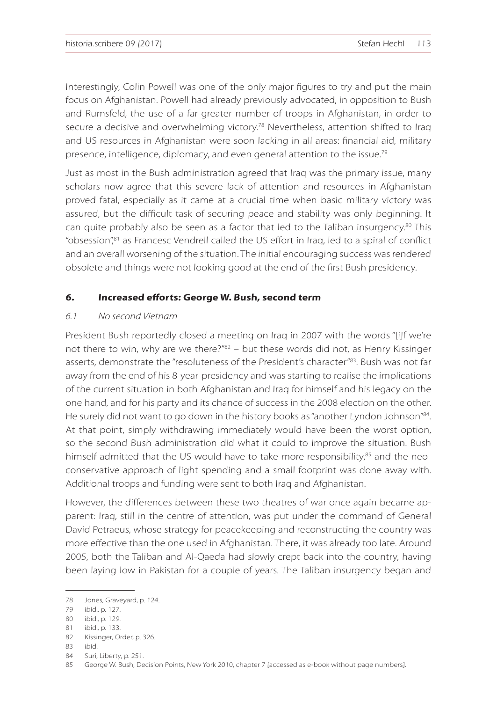Interestingly, Colin Powell was one of the only major figures to try and put the main focus on Afghanistan. Powell had already previously advocated, in opposition to Bush and Rumsfeld, the use of a far greater number of troops in Afghanistan, in order to secure a decisive and overwhelming victory.<sup>78</sup> Nevertheless, attention shifted to Iraq and US resources in Afghanistan were soon lacking in all areas: financial aid, military presence, intelligence, diplomacy, and even general attention to the issue.<sup>79</sup>

Just as most in the Bush administration agreed that Iraq was the primary issue, many scholars now agree that this severe lack of attention and resources in Afghanistan proved fatal, especially as it came at a crucial time when basic military victory was assured, but the difficult task of securing peace and stability was only beginning. It can quite probably also be seen as a factor that led to the Taliban insurgency.80 This "obsession",<sup>81</sup> as Francesc Vendrell called the US effort in Iraq, led to a spiral of conflict and an overall worsening of the situation. The initial encouraging success was rendered obsolete and things were not looking good at the end of the first Bush presidency.

#### **6. Increased efforts: George W. Bush, second term**

#### *6.1 No second Vietnam*

President Bush reportedly closed a meeting on Iraq in 2007 with the words "[i]f we're not there to win, why are we there?" $82 -$  but these words did not, as Henry Kissinger asserts, demonstrate the "resoluteness of the President's character<sup>"83</sup>. Bush was not far away from the end of his 8-year-presidency and was starting to realise the implications of the current situation in both Afghanistan and Iraq for himself and his legacy on the one hand, and for his party and its chance of success in the 2008 election on the other. He surely did not want to go down in the history books as "another Lyndon Johnson"<sup>84</sup>. At that point, simply withdrawing immediately would have been the worst option, so the second Bush administration did what it could to improve the situation. Bush himself admitted that the US would have to take more responsibility, $85$  and the neoconservative approach of light spending and a small footprint was done away with. Additional troops and funding were sent to both Iraq and Afghanistan.

However, the differences between these two theatres of war once again became apparent: Iraq, still in the centre of attention, was put under the command of General David Petraeus, whose strategy for peacekeeping and reconstructing the country was more effective than the one used in Afghanistan. There, it was already too late. Around 2005, both the Taliban and Al-Qaeda had slowly crept back into the country, having been laying low in Pakistan for a couple of years. The Taliban insurgency began and

<sup>78</sup> Jones, Graveyard, p. 124.

<sup>79</sup> ibid., p. 127.

<sup>80</sup> ibid., p. 129.

<sup>81</sup> ibid., p. 133.

<sup>82</sup> Kissinger, Order, p. 326.

<sup>83</sup> ibid.

<sup>84</sup> Suri, Liberty, p. 251.

<sup>85</sup> George W. Bush, Decision Points, New York 2010, chapter 7 [accessed as e-book without page numbers].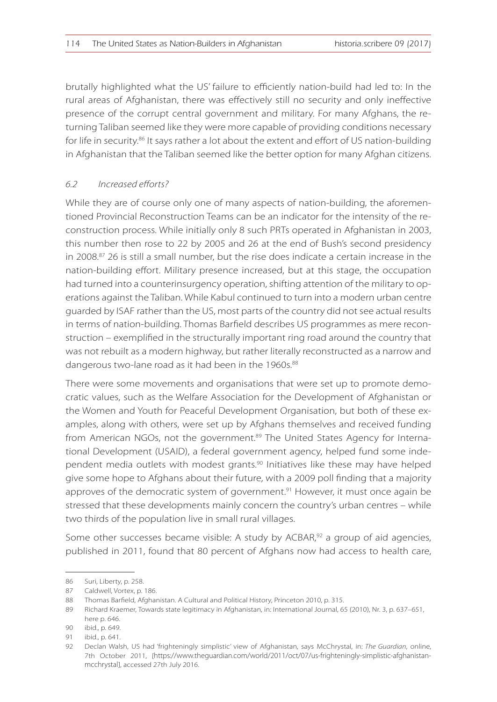brutally highlighted what the US' failure to efficiently nation-build had led to: In the rural areas of Afghanistan, there was effectively still no security and only ineffective presence of the corrupt central government and military. For many Afghans, the returning Taliban seemed like they were more capable of providing conditions necessary for life in security.<sup>86</sup> It says rather a lot about the extent and effort of US nation-building in Afghanistan that the Taliban seemed like the better option for many Afghan citizens.

## *6.2 Increased efforts?*

While they are of course only one of many aspects of nation-building, the aforementioned Provincial Reconstruction Teams can be an indicator for the intensity of the reconstruction process. While initially only 8 such PRTs operated in Afghanistan in 2003, this number then rose to 22 by 2005 and 26 at the end of Bush's second presidency in 2008. $87$  26 is still a small number, but the rise does indicate a certain increase in the nation-building effort. Military presence increased, but at this stage, the occupation had turned into a counterinsurgency operation, shifting attention of the military to operations against the Taliban. While Kabul continued to turn into a modern urban centre guarded by ISAF rather than the US, most parts of the country did not see actual results in terms of nation-building. Thomas Barfield describes US programmes as mere reconstruction – exemplified in the structurally important ring road around the country that was not rebuilt as a modern highway, but rather literally reconstructed as a narrow and dangerous two-lane road as it had been in the 1960s.<sup>88</sup>

There were some movements and organisations that were set up to promote democratic values, such as the Welfare Association for the Development of Afghanistan or the Women and Youth for Peaceful Development Organisation, but both of these examples, along with others, were set up by Afghans themselves and received funding from American NGOs, not the government.<sup>89</sup> The United States Agency for International Development (USAID), a federal government agency, helped fund some independent media outlets with modest grants.<sup>90</sup> Initiatives like these may have helped give some hope to Afghans about their future, with a 2009 poll finding that a majority approves of the democratic system of government. $91$  However, it must once again be stressed that these developments mainly concern the country's urban centres – while two thirds of the population live in small rural villages.

Some other successes became visible: A study by  $ACBAR<sup>92</sup>$  a group of aid agencies, published in 2011, found that 80 percent of Afghans now had access to health care,

<sup>86</sup> Suri, Liberty, p. 258.

<sup>87</sup> Caldwell, Vortex, p. 186.

<sup>88</sup> Thomas Barfield, Afghanistan. A Cultural and Political History, Princeton 2010, p. 315.

<sup>89</sup> Richard Kraemer, Towards state legitimacy in Afghanistan, in: International Journal, 65 (2010), Nr. 3, p. 637–651, here p. 646.

<sup>90</sup> ibid., p. 649.

<sup>91</sup> ibid., p. 641.

<sup>92</sup> Declan Walsh, US had 'frighteningly simplistic' view of Afghanistan, says McChrystal, in: *The Guardian*, online, 7th October 2011, [https://www.theguardian.com/world/2011/oct/07/us-frighteningly-simplistic-afghanistanmcchrystal], accessed 27th July 2016.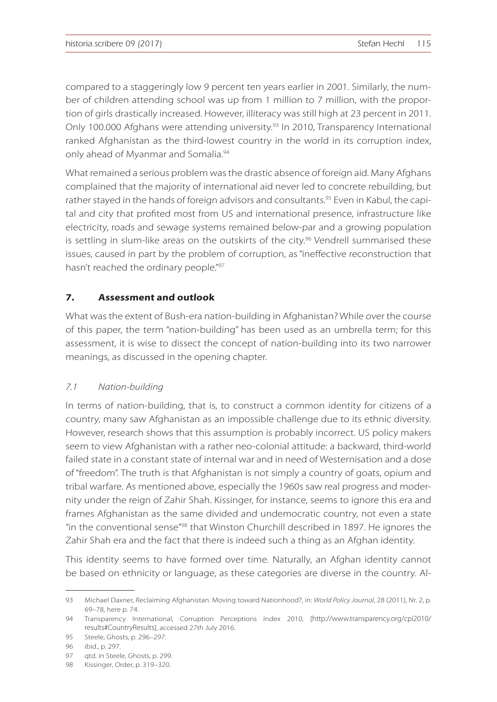compared to a staggeringly low 9 percent ten years earlier in 2001. Similarly, the number of children attending school was up from 1 million to 7 million, with the proportion of girls drastically increased. However, illiteracy was still high at 23 percent in 2011. Only 100.000 Afghans were attending university.<sup>93</sup> In 2010, Transparency International ranked Afghanistan as the third-lowest country in the world in its corruption index, only ahead of Myanmar and Somalia.<sup>94</sup>

What remained a serious problem was the drastic absence of foreign aid. Many Afghans complained that the majority of international aid never led to concrete rebuilding, but rather stayed in the hands of foreign advisors and consultants.<sup>95</sup> Even in Kabul, the capital and city that profited most from US and international presence, infrastructure like electricity, roads and sewage systems remained below-par and a growing population is settling in slum-like areas on the outskirts of the city. $96$  Vendrell summarised these issues, caused in part by the problem of corruption, as "ineffective reconstruction that hasn't reached the ordinary people."<sup>97</sup>

## **7. Assessment and outlook**

What was the extent of Bush-era nation-building in Afghanistan? While over the course of this paper, the term "nation-building" has been used as an umbrella term; for this assessment, it is wise to dissect the concept of nation-building into its two narrower meanings, as discussed in the opening chapter.

#### *7.1 Nation-building*

In terms of nation-building, that is, to construct a common identity for citizens of a country, many saw Afghanistan as an impossible challenge due to its ethnic diversity. However, research shows that this assumption is probably incorrect. US policy makers seem to view Afghanistan with a rather neo-colonial attitude: a backward, third-world failed state in a constant state of internal war and in need of Westernisation and a dose of "freedom". The truth is that Afghanistan is not simply a country of goats, opium and tribal warfare. As mentioned above, especially the 1960s saw real progress and modernity under the reign of Zahir Shah. Kissinger, for instance, seems to ignore this era and frames Afghanistan as the same divided and undemocratic country, not even a state "in the conventional sense"<sup>98</sup> that Winston Churchill described in 1897. He ignores the Zahir Shah era and the fact that there is indeed such a thing as an Afghan identity.

This identity seems to have formed over time. Naturally, an Afghan identity cannot be based on ethnicity or language, as these categories are diverse in the country. Al-

<sup>93</sup> Michael Daxner, Reclaiming Afghanistan. Moving toward Nationhood?, in: *World Policy Journal*, 28 (2011), Nr. 2, p. 69–78, here p. 74.

<sup>94</sup> Transparency International, Corruption Perceptions Index 2010, [http://www.transparency.org/cpi2010/ results#CountryResults], accessed 27th July 2016.

<sup>95</sup> Steele, Ghosts, p. 296–297.

<sup>96</sup> ibid., p. 297.

<sup>97</sup> qtd. in Steele, Ghosts, p. 299.

<sup>98</sup> Kissinger, Order, p. 319–320.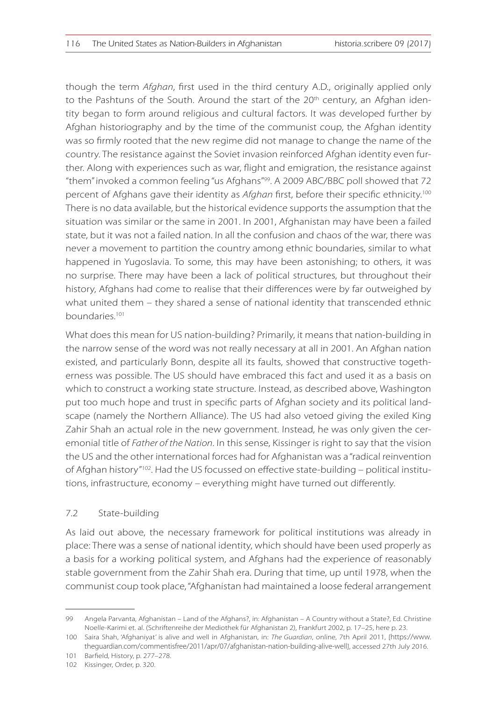though the term *Afghan*, first used in the third century A.D., originally applied only to the Pashtuns of the South. Around the start of the  $20<sup>th</sup>$  century, an Afghan identity began to form around religious and cultural factors. It was developed further by Afghan historiography and by the time of the communist coup, the Afghan identity was so firmly rooted that the new regime did not manage to change the name of the country. The resistance against the Soviet invasion reinforced Afghan identity even further. Along with experiences such as war, flight and emigration, the resistance against "them" invoked a common feeling "us Afghans"<sup>99</sup>. A 2009 ABC/BBC poll showed that 72 percent of Afghans gave their identity as *Afghan* first, before their specific ethnicity.<sup>100</sup> There is no data available, but the historical evidence supports the assumption that the situation was similar or the same in 2001. In 2001, Afghanistan may have been a failed state, but it was not a failed nation. In all the confusion and chaos of the war, there was never a movement to partition the country among ethnic boundaries, similar to what happened in Yugoslavia. To some, this may have been astonishing; to others, it was no surprise. There may have been a lack of political structures, but throughout their history, Afghans had come to realise that their differences were by far outweighed by what united them – they shared a sense of national identity that transcended ethnic boundaries.<sup>101</sup>

What does this mean for US nation-building? Primarily, it means that nation-building in the narrow sense of the word was not really necessary at all in 2001. An Afghan nation existed, and particularly Bonn, despite all its faults, showed that constructive togetherness was possible. The US should have embraced this fact and used it as a basis on which to construct a working state structure. Instead, as described above, Washington put too much hope and trust in specific parts of Afghan society and its political landscape (namely the Northern Alliance). The US had also vetoed giving the exiled King Zahir Shah an actual role in the new government. Instead, he was only given the ceremonial title of *Father of the Nation*. In this sense, Kissinger is right to say that the vision the US and the other international forces had for Afghanistan was a "radical reinvention of Afghan history"102. Had the US focussed on effective state-building – political institutions, infrastructure, economy – everything might have turned out differently.

## 7.2 State-building

As laid out above, the necessary framework for political institutions was already in place: There was a sense of national identity, which should have been used properly as a basis for a working political system, and Afghans had the experience of reasonably stable government from the Zahir Shah era. During that time, up until 1978, when the communist coup took place, "Afghanistan had maintained a loose federal arrangement

<sup>99</sup> Angela Parvanta, Afghanistan – Land of the Afghans?, in: Afghanistan – A Country without a State?, Ed. Christine Noelle-Karimi et. al. (Schriftenreihe der Mediothek für Afghanistan 2), Frankfurt 2002, p. 17–25, here p. 23.

<sup>100</sup> Saira Shah, 'Afghaniyat' is alive and well in Afghanistan, in: *The Guardian*, online, 7th April 2011, [https://www. theguardian.com/commentisfree/2011/apr/07/afghanistan-nation-building-alive-well], accessed 27th July 2016.

<sup>101</sup> Barfield, History, p. 277–278.

<sup>102</sup> Kissinger, Order, p. 320.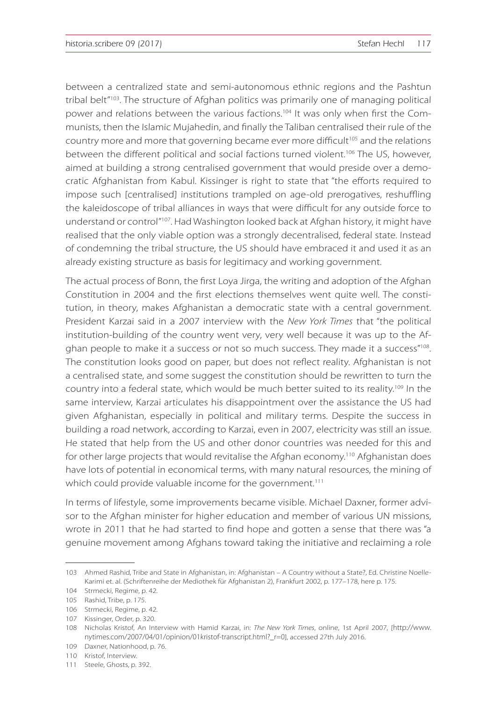between a centralized state and semi-autonomous ethnic regions and the Pashtun tribal belt<sup>"103</sup>. The structure of Afghan politics was primarily one of managing political power and relations between the various factions.<sup>104</sup> It was only when first the Communists, then the Islamic Mujahedin, and finally the Taliban centralised their rule of the country more and more that governing became ever more difficult<sup>105</sup> and the relations between the different political and social factions turned violent.<sup>106</sup> The US, however, aimed at building a strong centralised government that would preside over a democratic Afghanistan from Kabul. Kissinger is right to state that "the efforts required to impose such [centralised] institutions trampled on age-old prerogatives, reshuffling the kaleidoscope of tribal alliances in ways that were difficult for any outside force to understand or control"<sup>107</sup>. Had Washington looked back at Afghan history, it might have realised that the only viable option was a strongly decentralised, federal state. Instead of condemning the tribal structure, the US should have embraced it and used it as an already existing structure as basis for legitimacy and working government.

The actual process of Bonn, the first Loya Jirga, the writing and adoption of the Afghan Constitution in 2004 and the first elections themselves went quite well. The constitution, in theory, makes Afghanistan a democratic state with a central government. President Karzai said in a 2007 interview with the *New York Times* that "the political institution-building of the country went very, very well because it was up to the Afghan people to make it a success or not so much success. They made it a success"<sup>108</sup>. The constitution looks good on paper, but does not reflect reality. Afghanistan is not a centralised state, and some suggest the constitution should be rewritten to turn the country into a federal state, which would be much better suited to its reality.<sup>109</sup> In the same interview, Karzai articulates his disappointment over the assistance the US had given Afghanistan, especially in political and military terms. Despite the success in building a road network, according to Karzai, even in 2007, electricity was still an issue. He stated that help from the US and other donor countries was needed for this and for other large projects that would revitalise the Afghan economy.<sup>110</sup> Afghanistan does have lots of potential in economical terms, with many natural resources, the mining of which could provide valuable income for the government.<sup>111</sup>

In terms of lifestyle, some improvements became visible. Michael Daxner, former advisor to the Afghan minister for higher education and member of various UN missions, wrote in 2011 that he had started to find hope and gotten a sense that there was "a genuine movement among Afghans toward taking the initiative and reclaiming a role

<sup>103</sup> Ahmed Rashid, Tribe and State in Afghanistan, in: Afghanistan – A Country without a State?, Ed. Christine Noelle-Karimi et. al. (Schriftenreihe der Mediothek für Afghanistan 2), Frankfurt 2002, p. 177–178, here p. 175.

<sup>104</sup> Strmecki, Regime, p. 42.

<sup>105</sup> Rashid, Tribe, p. 175.

<sup>106</sup> Strmecki, Regime, p. 42.

<sup>107</sup> Kissinger, Order, p. 320.

<sup>108</sup> Nicholas Kristof, An Interview with Hamid Karzai, in: *The New York Times*, online, 1st April 2007, [http://www. nytimes.com/2007/04/01/opinion/01kristof-transcript.html?\_r=0], accessed 27th July 2016.

<sup>109</sup> Daxner, Nationhood, p. 76.

<sup>110</sup> Kristof, Interview.

<sup>111</sup> Steele, Ghosts, p. 392.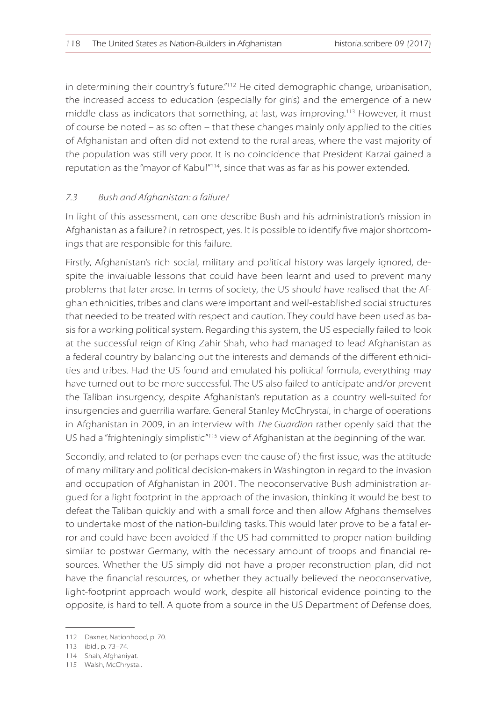in determining their country's future."<sup>112</sup> He cited demographic change, urbanisation, the increased access to education (especially for girls) and the emergence of a new middle class as indicators that something, at last, was improving.<sup>113</sup> However, it must of course be noted – as so often – that these changes mainly only applied to the cities of Afghanistan and often did not extend to the rural areas, where the vast majority of the population was still very poor. It is no coincidence that President Karzai gained a reputation as the "mayor of Kabul"<sup>114</sup>, since that was as far as his power extended.

#### *7.3 Bush and Afghanistan: a failure?*

In light of this assessment, can one describe Bush and his administration's mission in Afghanistan as a failure? In retrospect, yes. It is possible to identify five major shortcomings that are responsible for this failure.

Firstly, Afghanistan's rich social, military and political history was largely ignored, despite the invaluable lessons that could have been learnt and used to prevent many problems that later arose. In terms of society, the US should have realised that the Afghan ethnicities, tribes and clans were important and well-established social structures that needed to be treated with respect and caution. They could have been used as basis for a working political system. Regarding this system, the US especially failed to look at the successful reign of King Zahir Shah, who had managed to lead Afghanistan as a federal country by balancing out the interests and demands of the different ethnicities and tribes. Had the US found and emulated his political formula, everything may have turned out to be more successful. The US also failed to anticipate and/or prevent the Taliban insurgency, despite Afghanistan's reputation as a country well-suited for insurgencies and guerrilla warfare. General Stanley McChrystal, in charge of operations in Afghanistan in 2009, in an interview with *The Guardian* rather openly said that the US had a "frighteningly simplistic"<sup>115</sup> view of Afghanistan at the beginning of the war.

Secondly, and related to (or perhaps even the cause of) the first issue, was the attitude of many military and political decision-makers in Washington in regard to the invasion and occupation of Afghanistan in 2001. The neoconservative Bush administration argued for a light footprint in the approach of the invasion, thinking it would be best to defeat the Taliban quickly and with a small force and then allow Afghans themselves to undertake most of the nation-building tasks. This would later prove to be a fatal error and could have been avoided if the US had committed to proper nation-building similar to postwar Germany, with the necessary amount of troops and financial resources. Whether the US simply did not have a proper reconstruction plan, did not have the financial resources, or whether they actually believed the neoconservative, light-footprint approach would work, despite all historical evidence pointing to the opposite, is hard to tell. A quote from a source in the US Department of Defense does,

<sup>112</sup> Daxner, Nationhood, p. 70.

<sup>113</sup> ibid., p. 73–74.

<sup>114</sup> Shah, Afghaniyat.

<sup>115</sup> Walsh, McChrystal.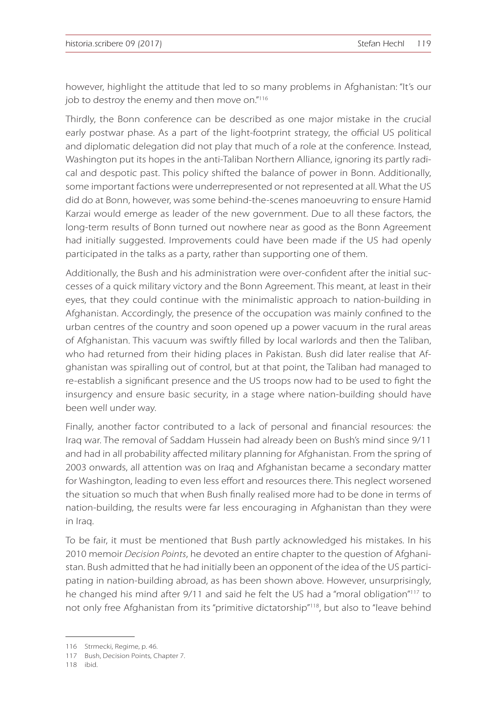however, highlight the attitude that led to so many problems in Afghanistan: "It's our job to destroy the enemy and then move on."<sup>116</sup>

Thirdly, the Bonn conference can be described as one major mistake in the crucial early postwar phase. As a part of the light-footprint strategy, the official US political and diplomatic delegation did not play that much of a role at the conference. Instead, Washington put its hopes in the anti-Taliban Northern Alliance, ignoring its partly radical and despotic past. This policy shifted the balance of power in Bonn. Additionally, some important factions were underrepresented or not represented at all. What the US did do at Bonn, however, was some behind-the-scenes manoeuvring to ensure Hamid Karzai would emerge as leader of the new government. Due to all these factors, the long-term results of Bonn turned out nowhere near as good as the Bonn Agreement had initially suggested. Improvements could have been made if the US had openly participated in the talks as a party, rather than supporting one of them.

Additionally, the Bush and his administration were over-confident after the initial successes of a quick military victory and the Bonn Agreement. This meant, at least in their eyes, that they could continue with the minimalistic approach to nation-building in Afghanistan. Accordingly, the presence of the occupation was mainly confined to the urban centres of the country and soon opened up a power vacuum in the rural areas of Afghanistan. This vacuum was swiftly filled by local warlords and then the Taliban, who had returned from their hiding places in Pakistan. Bush did later realise that Afghanistan was spiralling out of control, but at that point, the Taliban had managed to re-establish a significant presence and the US troops now had to be used to fight the insurgency and ensure basic security, in a stage where nation-building should have been well under way.

Finally, another factor contributed to a lack of personal and financial resources: the Iraq war. The removal of Saddam Hussein had already been on Bush's mind since 9/11 and had in all probability affected military planning for Afghanistan. From the spring of 2003 onwards, all attention was on Iraq and Afghanistan became a secondary matter for Washington, leading to even less effort and resources there. This neglect worsened the situation so much that when Bush finally realised more had to be done in terms of nation-building, the results were far less encouraging in Afghanistan than they were in Iraq.

To be fair, it must be mentioned that Bush partly acknowledged his mistakes. In his 2010 memoir *Decision Points*, he devoted an entire chapter to the question of Afghanistan. Bush admitted that he had initially been an opponent of the idea of the US participating in nation-building abroad, as has been shown above. However, unsurprisingly, he changed his mind after 9/11 and said he felt the US had a "moral obligation"<sup>117</sup> to not only free Afghanistan from its "primitive dictatorship"<sup>118</sup>, but also to "leave behind

118 ibid.

<sup>116</sup> Strmecki, Regime, p. 46.

<sup>117</sup> Bush, Decision Points, Chapter 7.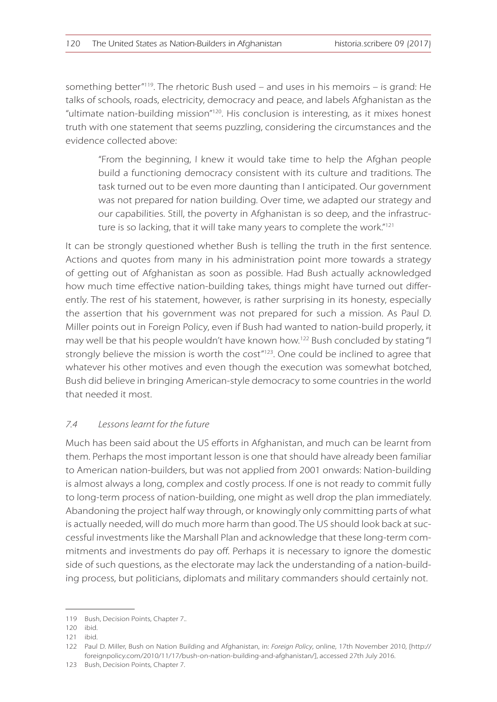something better"<sup>119</sup>. The rhetoric Bush used – and uses in his memoirs – is grand: He talks of schools, roads, electricity, democracy and peace, and labels Afghanistan as the "ultimate nation-building mission"<sup>120</sup>. His conclusion is interesting, as it mixes honest truth with one statement that seems puzzling, considering the circumstances and the evidence collected above:

"From the beginning, I knew it would take time to help the Afghan people build a functioning democracy consistent with its culture and traditions. The task turned out to be even more daunting than I anticipated. Our government was not prepared for nation building. Over time, we adapted our strategy and our capabilities. Still, the poverty in Afghanistan is so deep, and the infrastructure is so lacking, that it will take many years to complete the work."<sup>121</sup>

It can be strongly questioned whether Bush is telling the truth in the first sentence. Actions and quotes from many in his administration point more towards a strategy of getting out of Afghanistan as soon as possible. Had Bush actually acknowledged how much time effective nation-building takes, things might have turned out differently. The rest of his statement, however, is rather surprising in its honesty, especially the assertion that his government was not prepared for such a mission. As Paul D. Miller points out in Foreign Policy, even if Bush had wanted to nation-build properly, it may well be that his people wouldn't have known how.<sup>122</sup> Bush concluded by stating "I strongly believe the mission is worth the cost $n_{123}$ . One could be inclined to agree that whatever his other motives and even though the execution was somewhat botched, Bush did believe in bringing American-style democracy to some countries in the world that needed it most.

#### *7.4 Lessons learnt for the future*

Much has been said about the US efforts in Afghanistan, and much can be learnt from them. Perhaps the most important lesson is one that should have already been familiar to American nation-builders, but was not applied from 2001 onwards: Nation-building is almost always a long, complex and costly process. If one is not ready to commit fully to long-term process of nation-building, one might as well drop the plan immediately. Abandoning the project half way through, or knowingly only committing parts of what is actually needed, will do much more harm than good. The US should look back at successful investments like the Marshall Plan and acknowledge that these long-term commitments and investments do pay off. Perhaps it is necessary to ignore the domestic side of such questions, as the electorate may lack the understanding of a nation-building process, but politicians, diplomats and military commanders should certainly not.

<sup>119</sup> Bush, Decision Points, Chapter 7..

<sup>120</sup> ibid.

<sup>121</sup> ibid.

<sup>122</sup> Paul D. Miller, Bush on Nation Building and Afghanistan, in: *Foreign Policy*, online, 17th November 2010, [http:// foreignpolicy.com/2010/11/17/bush-on-nation-building-and-afghanistan/], accessed 27th July 2016.

<sup>123</sup> Bush, Decision Points, Chapter 7.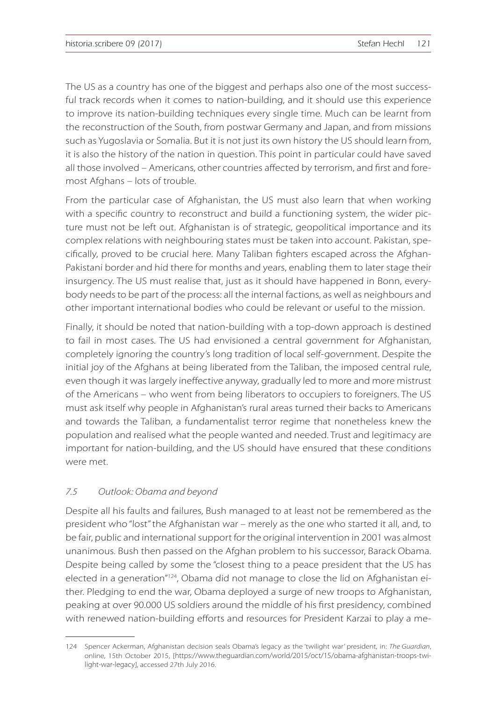The US as a country has one of the biggest and perhaps also one of the most successful track records when it comes to nation-building, and it should use this experience to improve its nation-building techniques every single time. Much can be learnt from the reconstruction of the South, from postwar Germany and Japan, and from missions such as Yugoslavia or Somalia. But it is not just its own history the US should learn from, it is also the history of the nation in question. This point in particular could have saved all those involved – Americans, other countries affected by terrorism, and first and foremost Afghans – lots of trouble.

From the particular case of Afghanistan, the US must also learn that when working with a specific country to reconstruct and build a functioning system, the wider picture must not be left out. Afghanistan is of strategic, geopolitical importance and its complex relations with neighbouring states must be taken into account. Pakistan, specifically, proved to be crucial here. Many Taliban fighters escaped across the Afghan-Pakistani border and hid there for months and years, enabling them to later stage their insurgency. The US must realise that, just as it should have happened in Bonn, everybody needs to be part of the process: all the internal factions, as well as neighbours and other important international bodies who could be relevant or useful to the mission.

Finally, it should be noted that nation-building with a top-down approach is destined to fail in most cases. The US had envisioned a central government for Afghanistan, completely ignoring the country's long tradition of local self-government. Despite the initial joy of the Afghans at being liberated from the Taliban, the imposed central rule, even though it was largely ineffective anyway, gradually led to more and more mistrust of the Americans – who went from being liberators to occupiers to foreigners. The US must ask itself why people in Afghanistan's rural areas turned their backs to Americans and towards the Taliban, a fundamentalist terror regime that nonetheless knew the population and realised what the people wanted and needed. Trust and legitimacy are important for nation-building, and the US should have ensured that these conditions were met.

#### *7.5 Outlook: Obama and beyond*

Despite all his faults and failures, Bush managed to at least not be remembered as the president who "lost" the Afghanistan war – merely as the one who started it all, and, to be fair, public and international support for the original intervention in 2001 was almost unanimous. Bush then passed on the Afghan problem to his successor, Barack Obama. Despite being called by some the "closest thing to a peace president that the US has elected in a generation"<sup>124</sup>, Obama did not manage to close the lid on Afghanistan either. Pledging to end the war, Obama deployed a surge of new troops to Afghanistan, peaking at over 90.000 US soldiers around the middle of his first presidency, combined with renewed nation-building efforts and resources for President Karzai to play a me-

<sup>124</sup> Spencer Ackerman, Afghanistan decision seals Obama's legacy as the 'twilight war' president, in: *The Guardian*, online, 15th October 2015, [https://www.theguardian.com/world/2015/oct/15/obama-afghanistan-troops-twilight-war-legacy], accessed 27th July 2016.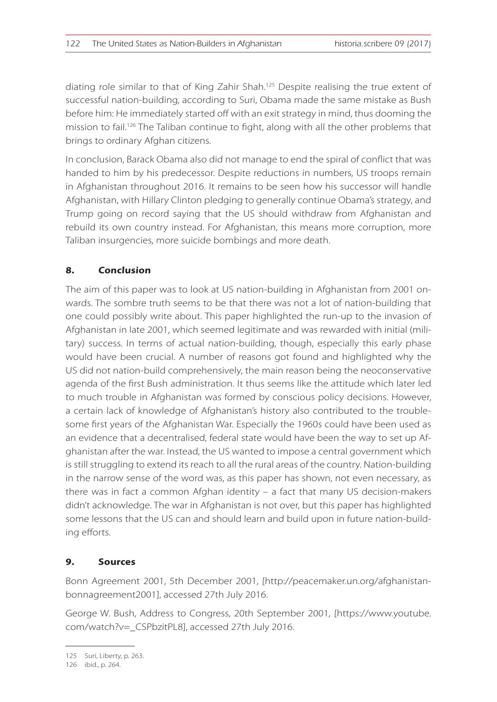diating role similar to that of King Zahir Shah.<sup>125</sup> Despite realising the true extent of successful nation-building, according to Suri, Obama made the same mistake as Bush before him: He immediately started off with an exit strategy in mind, thus dooming the mission to fail.<sup>126</sup> The Taliban continue to fight, along with all the other problems that brings to ordinary Afghan citizens.

In conclusion, Barack Obama also did not manage to end the spiral of conflict that was handed to him by his predecessor. Despite reductions in numbers, US troops remain in Afghanistan throughout 2016. It remains to be seen how his successor will handle Afghanistan, with Hillary Clinton pledging to generally continue Obama's strategy, and Trump going on record saying that the US should withdraw from Afghanistan and rebuild its own country instead. For Afghanistan, this means more corruption, more Taliban insurgencies, more suicide bombings and more death.

#### **8. Conclusion**

The aim of this paper was to look at US nation-building in Afghanistan from 2001 onwards. The sombre truth seems to be that there was not a lot of nation-building that one could possibly write about. This paper highlighted the run-up to the invasion of Afghanistan in late 2001, which seemed legitimate and was rewarded with initial (military) success. In terms of actual nation-building, though, especially this early phase would have been crucial. A number of reasons got found and highlighted why the US did not nation-build comprehensively, the main reason being the neoconservative agenda of the first Bush administration. It thus seems like the attitude which later led to much trouble in Afghanistan was formed by conscious policy decisions. However, a certain lack of knowledge of Afghanistan's history also contributed to the troublesome first years of the Afghanistan War. Especially the 1960s could have been used as an evidence that a decentralised, federal state would have been the way to set up Afghanistan after the war. Instead, the US wanted to impose a central government which is still struggling to extend its reach to all the rural areas of the country. Nation-building in the narrow sense of the word was, as this paper has shown, not even necessary, as there was in fact a common Afghan identity – a fact that many US decision-makers didn't acknowledge. The war in Afghanistan is not over, but this paper has highlighted some lessons that the US can and should learn and build upon in future nation-building efforts.

#### **9. Sources**

Bonn Agreement 2001, 5th December 2001, [http://peacemaker.un.org/afghanistanbonnagreement2001], accessed 27th July 2016.

George W. Bush, Address to Congress, 20th September 2001, [https://www.youtube. com/watch?v=\_CSPbzitPL8], accessed 27th July 2016.

<sup>125</sup> Suri, Liberty, p. 263.

<sup>126</sup> ibid., p. 264.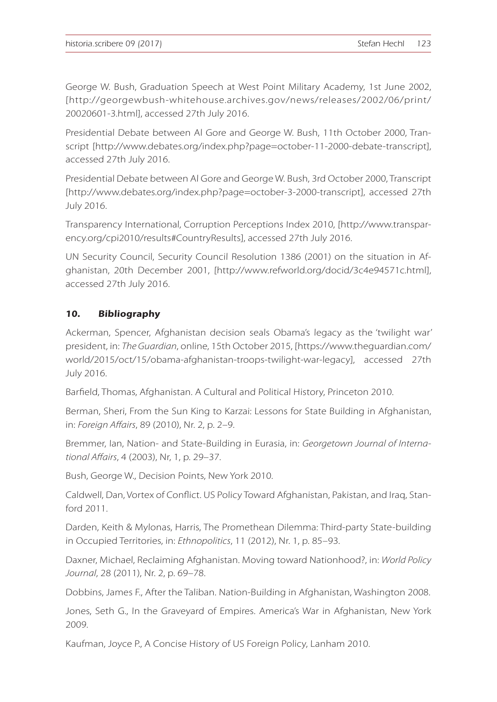George W. Bush, Graduation Speech at West Point Military Academy, 1st June 2002, [http://georgewbush-whitehouse.archives.gov/news/releases/2002/06/print/ 20020601-3.html], accessed 27th July 2016.

Presidential Debate between Al Gore and George W. Bush, 11th October 2000, Transcript [http://www.debates.org/index.php?page=october-11-2000-debate-transcript], accessed 27th July 2016.

Presidential Debate between Al Gore and George W. Bush, 3rd October 2000, Transcript [http://www.debates.org/index.php?page=october-3-2000-transcript], accessed 27th July 2016.

Transparency International, Corruption Perceptions Index 2010, [http://www.transparency.org/cpi2010/results#CountryResults], accessed 27th July 2016.

UN Security Council, Security Council Resolution 1386 (2001) on the situation in Afghanistan, 20th December 2001, [http://www.refworld.org/docid/3c4e94571c.html], accessed 27th July 2016.

## **10. Bibliography**

Ackerman, Spencer, Afghanistan decision seals Obama's legacy as the 'twilight war' president, in: *The Guardian*, online, 15th October 2015, [https://www.theguardian.com/ world/2015/oct/15/obama-afghanistan-troops-twilight-war-legacy], accessed 27th July 2016.

Barfield, Thomas, Afghanistan. A Cultural and Political History, Princeton 2010.

Berman, Sheri, From the Sun King to Karzai: Lessons for State Building in Afghanistan, in: *Foreign Affairs*, 89 (2010), Nr. 2, p. 2–9.

Bremmer, Ian, Nation- and State-Building in Eurasia, in: *Georgetown Journal of International Affairs*, 4 (2003), Nr, 1, p. 29–37.

Bush, George W., Decision Points, New York 2010.

Caldwell, Dan, Vortex of Conflict. US Policy Toward Afghanistan, Pakistan, and Iraq, Stanford 2011.

Darden, Keith & Mylonas, Harris, The Promethean Dilemma: Third-party State-building in Occupied Territories, in: *Ethnopolitics*, 11 (2012), Nr. 1, p. 85–93.

Daxner, Michael, Reclaiming Afghanistan. Moving toward Nationhood?, in: *World Policy Journal*, 28 (2011), Nr. 2, p. 69–78.

Dobbins, James F., After the Taliban. Nation-Building in Afghanistan, Washington 2008.

Jones, Seth G., In the Graveyard of Empires. America's War in Afghanistan, New York 2009.

Kaufman, Joyce P., A Concise History of US Foreign Policy, Lanham 2010.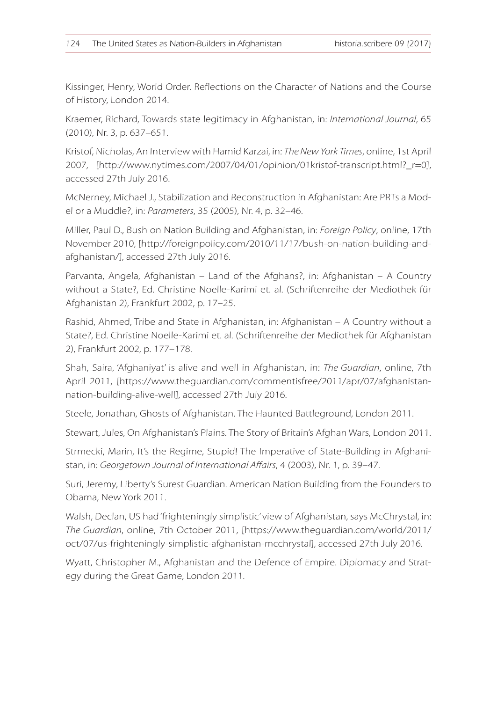Kissinger, Henry, World Order. Reflections on the Character of Nations and the Course of History, London 2014.

Kraemer, Richard, Towards state legitimacy in Afghanistan, in: *International Journal*, 65 (2010), Nr. 3, p. 637–651.

Kristof, Nicholas, An Interview with Hamid Karzai, in: *The New York Times*, online, 1st April 2007, [http://www.nytimes.com/2007/04/01/opinion/01kristof-transcript.html?\_r=0], accessed 27th July 2016.

McNerney, Michael J., Stabilization and Reconstruction in Afghanistan: Are PRTs a Model or a Muddle?, in: *Parameters*, 35 (2005), Nr. 4, p. 32–46.

Miller, Paul D., Bush on Nation Building and Afghanistan, in: *Foreign Policy*, online, 17th November 2010, [http://foreignpolicy.com/2010/11/17/bush-on-nation-building-andafghanistan/], accessed 27th July 2016.

Parvanta, Angela, Afghanistan – Land of the Afghans?, in: Afghanistan – A Country without a State?, Ed. Christine Noelle-Karimi et. al. (Schriftenreihe der Mediothek für Afghanistan 2), Frankfurt 2002, p. 17–25.

Rashid, Ahmed, Tribe and State in Afghanistan, in: Afghanistan – A Country without a State?, Ed. Christine Noelle-Karimi et. al. (Schriftenreihe der Mediothek für Afghanistan 2), Frankfurt 2002, p. 177–178.

Shah, Saira, 'Afghaniyat' is alive and well in Afghanistan, in: *The Guardian*, online, 7th April 2011, [https://www.theguardian.com/commentisfree/2011/apr/07/afghanistannation-building-alive-well], accessed 27th July 2016.

Steele, Jonathan, Ghosts of Afghanistan. The Haunted Battleground, London 2011.

Stewart, Jules, On Afghanistan's Plains. The Story of Britain's Afghan Wars, London 2011.

Strmecki, Marin, It's the Regime, Stupid! The Imperative of State-Building in Afghanistan, in: *Georgetown Journal of International Affairs*, 4 (2003), Nr. 1, p. 39–47.

Suri, Jeremy, Liberty's Surest Guardian. American Nation Building from the Founders to Obama, New York 2011.

Walsh, Declan, US had 'frighteningly simplistic' view of Afghanistan, says McChrystal, in: *The Guardian*, online, 7th October 2011, [https://www.theguardian.com/world/2011/ oct/07/us-frighteningly-simplistic-afghanistan-mcchrystal], accessed 27th July 2016.

Wyatt, Christopher M., Afghanistan and the Defence of Empire. Diplomacy and Strategy during the Great Game, London 2011.